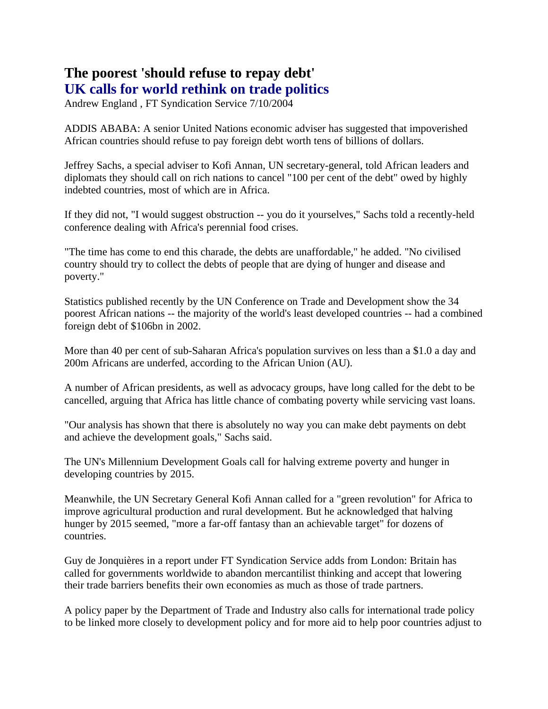## **The poorest 'should refuse to repay debt' UK calls for world rethink on trade politics**

Andrew England , FT Syndication Service 7/10/2004

ADDIS ABABA: A senior United Nations economic adviser has suggested that impoverished African countries should refuse to pay foreign debt worth tens of billions of dollars.

Jeffrey Sachs, a special adviser to Kofi Annan, UN secretary-general, told African leaders and diplomats they should call on rich nations to cancel "100 per cent of the debt" owed by highly indebted countries, most of which are in Africa.

If they did not, "I would suggest obstruction -- you do it yourselves," Sachs told a recently-held conference dealing with Africa's perennial food crises.

"The time has come to end this charade, the debts are unaffordable," he added. "No civilised country should try to collect the debts of people that are dying of hunger and disease and poverty."

Statistics published recently by the UN Conference on Trade and Development show the 34 poorest African nations -- the majority of the world's least developed countries -- had a combined foreign debt of \$106bn in 2002.

More than 40 per cent of sub-Saharan Africa's population survives on less than a \$1.0 a day and 200m Africans are underfed, according to the African Union (AU).

A number of African presidents, as well as advocacy groups, have long called for the debt to be cancelled, arguing that Africa has little chance of combating poverty while servicing vast loans.

"Our analysis has shown that there is absolutely no way you can make debt payments on debt and achieve the development goals," Sachs said.

The UN's Millennium Development Goals call for halving extreme poverty and hunger in developing countries by 2015.

Meanwhile, the UN Secretary General Kofi Annan called for a "green revolution" for Africa to improve agricultural production and rural development. But he acknowledged that halving hunger by 2015 seemed, "more a far-off fantasy than an achievable target" for dozens of countries.

Guy de Jonquières in a report under FT Syndication Service adds from London: Britain has called for governments worldwide to abandon mercantilist thinking and accept that lowering their trade barriers benefits their own economies as much as those of trade partners.

A policy paper by the Department of Trade and Industry also calls for international trade policy to be linked more closely to development policy and for more aid to help poor countries adjust to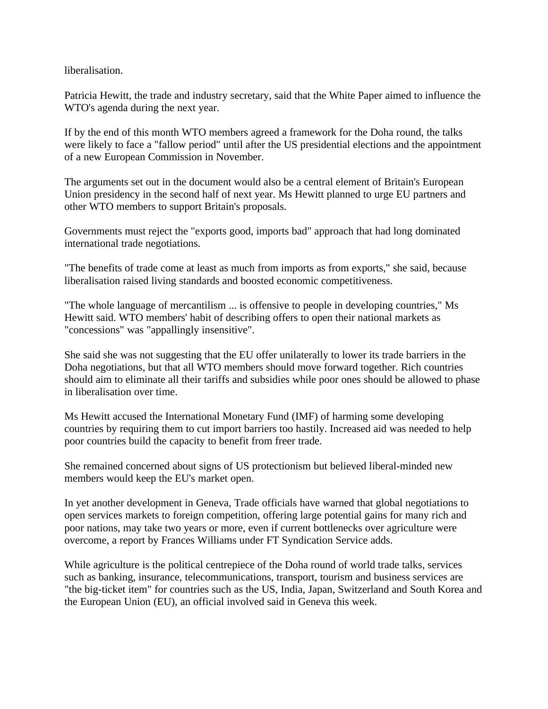liberalisation.

Patricia Hewitt, the trade and industry secretary, said that the White Paper aimed to influence the WTO's agenda during the next year.

If by the end of this month WTO members agreed a framework for the Doha round, the talks were likely to face a "fallow period" until after the US presidential elections and the appointment of a new European Commission in November.

The arguments set out in the document would also be a central element of Britain's European Union presidency in the second half of next year. Ms Hewitt planned to urge EU partners and other WTO members to support Britain's proposals.

Governments must reject the "exports good, imports bad" approach that had long dominated international trade negotiations.

"The benefits of trade come at least as much from imports as from exports," she said, because liberalisation raised living standards and boosted economic competitiveness.

"The whole language of mercantilism ... is offensive to people in developing countries," Ms Hewitt said. WTO members' habit of describing offers to open their national markets as "concessions" was "appallingly insensitive".

She said she was not suggesting that the EU offer unilaterally to lower its trade barriers in the Doha negotiations, but that all WTO members should move forward together. Rich countries should aim to eliminate all their tariffs and subsidies while poor ones should be allowed to phase in liberalisation over time.

Ms Hewitt accused the International Monetary Fund (IMF) of harming some developing countries by requiring them to cut import barriers too hastily. Increased aid was needed to help poor countries build the capacity to benefit from freer trade.

She remained concerned about signs of US protectionism but believed liberal-minded new members would keep the EU's market open.

In yet another development in Geneva, Trade officials have warned that global negotiations to open services markets to foreign competition, offering large potential gains for many rich and poor nations, may take two years or more, even if current bottlenecks over agriculture were overcome, a report by Frances Williams under FT Syndication Service adds.

While agriculture is the political centrepiece of the Doha round of world trade talks, services such as banking, insurance, telecommunications, transport, tourism and business services are "the big-ticket item" for countries such as the US, India, Japan, Switzerland and South Korea and the European Union (EU), an official involved said in Geneva this week.